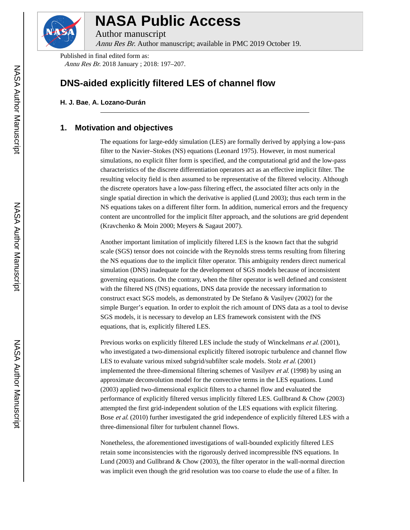

# **NASA Public Access**

Author manuscript

Annu Res Br. Author manuscript; available in PMC 2019 October 19.

Published in final edited form as: Annu Res Br. 2018 January ; 2018: 197–207.

## **DNS-aided explicitly filtered LES of channel flow**

**H. J. Bae**, **A. Lozano-Durán**

## **1. Motivation and objectives**

The equations for large-eddy simulation (LES) are formally derived by applying a low-pass filter to the Navier–Stokes (NS) equations (Leonard 1975). However, in most numerical simulations, no explicit filter form is specified, and the computational grid and the low-pass characteristics of the discrete differentiation operators act as an effective implicit filter. The resulting velocity field is then assumed to be representative of the filtered velocity. Although the discrete operators have a low-pass filtering effect, the associated filter acts only in the single spatial direction in which the derivative is applied (Lund 2003); thus each term in the NS equations takes on a different filter form. In addition, numerical errors and the frequency content are uncontrolled for the implicit filter approach, and the solutions are grid dependent (Kravchenko & Moin 2000; Meyers & Sagaut 2007).

Another important limitation of implicitly filtered LES is the known fact that the subgrid scale (SGS) tensor does not coincide with the Reynolds stress terms resulting from filtering the NS equations due to the implicit filter operator. This ambiguity renders direct numerical simulation (DNS) inadequate for the development of SGS models because of inconsistent governing equations. On the contrary, when the filter operator is well defined and consistent with the filtered NS (fNS) equations, DNS data provide the necessary information to construct exact SGS models, as demonstrated by De Stefano & Vasilyev (2002) for the simple Burger's equation. In order to exploit the rich amount of DNS data as a tool to devise SGS models, it is necessary to develop an LES framework consistent with the fNS equations, that is, explicitly filtered LES.

Previous works on explicitly filtered LES include the study of Winckelmans *et al.* (2001), who investigated a two-dimensional explicitly filtered isotropic turbulence and channel flow LES to evaluate various mixed subgrid/subfilter scale models. Stolz et al. (2001) implemented the three-dimensional filtering schemes of Vasilyev et al. (1998) by using an approximate deconvolution model for the convective terms in the LES equations. Lund (2003) applied two-dimensional explicit filters to a channel flow and evaluated the performance of explicitly filtered versus implicitly filtered LES. Gullbrand & Chow (2003) attempted the first grid-independent solution of the LES equations with explicit filtering. Bose *et al.* (2010) further investigated the grid independence of explicitly filtered LES with a three-dimensional filter for turbulent channel flows.

Nonetheless, the aforementioned investigations of wall-bounded explicitly filtered LES retain some inconsistencies with the rigorously derived incompressible fNS equations. In Lund (2003) and Gullbrand & Chow (2003), the filter operator in the wall-normal direction was implicit even though the grid resolution was too coarse to elude the use of a filter. In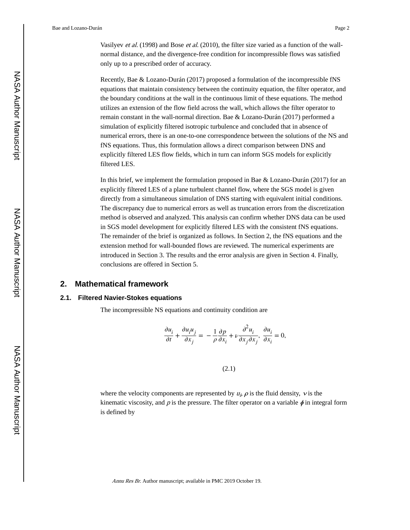Vasilyev *et al.* (1998) and Bose *et al.* (2010), the filter size varied as a function of the wallnormal distance, and the divergence-free condition for incompressible flows was satisfied only up to a prescribed order of accuracy.

Recently, Bae & Lozano-Durán (2017) proposed a formulation of the incompressible fNS equations that maintain consistency between the continuity equation, the filter operator, and the boundary conditions at the wall in the continuous limit of these equations. The method utilizes an extension of the flow field across the wall, which allows the filter operator to remain constant in the wall-normal direction. Bae & Lozano-Durán (2017) performed a simulation of explicitly filtered isotropic turbulence and concluded that in absence of numerical errors, there is an one-to-one correspondence between the solutions of the NS and fNS equations. Thus, this formulation allows a direct comparison between DNS and explicitly filtered LES flow fields, which in turn can inform SGS models for explicitly filtered LES.

In this brief, we implement the formulation proposed in Bae & Lozano-Durán (2017) for an explicitly filtered LES of a plane turbulent channel flow, where the SGS model is given directly from a simultaneous simulation of DNS starting with equivalent initial conditions. The discrepancy due to numerical errors as well as truncation errors from the discretization method is observed and analyzed. This analysis can confirm whether DNS data can be used in SGS model development for explicitly filtered LES with the consistent fNS equations. The remainder of the brief is organized as follows. In Section 2, the fNS equations and the extension method for wall-bounded flows are reviewed. The numerical experiments are introduced in Section 3. The results and the error analysis are given in Section 4. Finally, conclusions are offered in Section 5.

## **2. Mathematical framework**

#### **2.1. Filtered Navier-Stokes equations**

The incompressible NS equations and continuity condition are

$$
\frac{\partial u_i}{\partial t} + \frac{\partial u_i u_j}{\partial x_j} = -\frac{1}{\rho} \frac{\partial p}{\partial x_i} + \nu \frac{\partial^2 u_i}{\partial x_j \partial x_j}, \frac{\partial u_i}{\partial x_i} = 0,
$$

(2.1)

where the velocity components are represented by  $u_i$ ,  $\rho$  is the fluid density,  $\nu$  is the kinematic viscosity, and p is the pressure. The filter operator on a variable  $\phi$  in integral form is defined by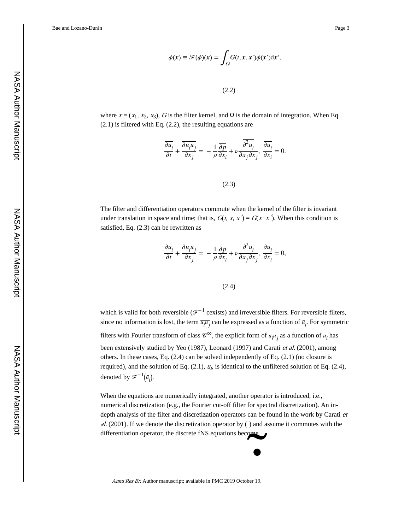Bae and Lozano-Durán **Page 3** Page 3

$$
\overline{\phi}(x) \equiv \mathcal{F}(\phi)(x) = \int_{\Omega} G(t, x, x') \phi(x') dx',
$$

(2.2)

where  $x = (x_1, x_2, x_3)$ , G is the filter kernel, and  $\Omega$  is the domain of integration. When Eq. (2.1) is filtered with Eq. (2.2), the resulting equations are

$$
\frac{\overline{\partial u_i}}{\partial t} + \frac{\overline{\partial u_i u_j}}{\partial x_j} = -\frac{1}{\rho} \frac{\overline{\partial p}}{\partial x_i} + \nu \frac{\overline{\partial^2 u_i}}{\partial x_j \partial x_j}, \frac{\overline{\partial u_i}}{\partial x_i} = 0.
$$

(2.3)

The filter and differentiation operators commute when the kernel of the filter is invariant under translation in space and time; that is,  $G(t, x, x') = G(x-x')$ . When this condition is satisfied, Eq. (2.3) can be rewritten as

$$
\frac{\partial \bar{u}_i}{\partial t} + \frac{\partial \bar{u}_i \bar{u}_j}{\partial x_j} = -\frac{1}{\rho} \frac{\partial \bar{p}}{\partial x_i} + \nu \frac{\partial^2 \bar{u}_i}{\partial x_j \partial x_j}, \frac{\partial \bar{u}_i}{\partial x_i} = 0,
$$

(2.4)

which is valid for both reversible ( $\mathscr{F}^{-1}$  cexists) and irreversible filters. For reversible filters, since no information is lost, the term  $\overline{u_i u_j}$  can be expressed as a function of  $\overline{u_i}$ . For symmetric filters with Fourier transform of class  $\mathcal{C}^{\infty}$ , the explicit form of  $\overline{u_i u_j}$  as a function of  $\overline{u_i}$  has been extensively studied by Yeo (1987), Leonard (1997) and Carati et al. (2001), among others. In these cases, Eq. (2.4) can be solved independently of Eq. (2.1) (no closure is required), and the solution of Eq.  $(2.1)$ ,  $u<sub>i</sub>$ , is identical to the unfiltered solution of Eq.  $(2.4)$ , denoted by  $\mathcal{F}^{-1}(\bar{u}_i)$ .

When the equations are numerically integrated, another operator is introduced, i.e., numerical discretization (e.g., the Fourier cut-off filter for spectral discretization). An indepth analysis of the filter and discretization operators can be found in the work by Carati et  $al.$  (2001). If we denote the discretization operator by () and assume it commutes with the  $\bullet$ <br>
er 19. differentiation operator, the discrete fNS equations become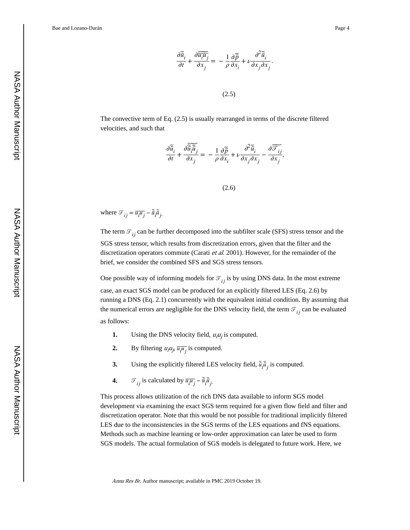$$
\frac{\partial \tilde{\overline{u}}_i}{\partial t} + \frac{\partial \overline{\overline{u_i u_j}}}{\partial x_j} = -\frac{1}{\rho} \frac{\partial \tilde{\overline{p}}}{\partial x_i} + \nu \frac{\partial^2 \tilde{\overline{u}}_i}{\partial x_j \partial x_j}
$$

.

(2.5)

The convective term of Eq. (2.5) is usually rearranged in terms of the discrete filtered velocities, and such that

$$
\frac{\partial \widetilde{\overline{u}}_i}{\partial t} + \frac{\partial \widetilde{\overline{\widetilde{u}}_i \widetilde{\overline{u}}_j}{\partial x_j} = -\frac{1}{\rho} \frac{\partial \widetilde{\overline{p}}}{\partial x_i} + \nu \frac{\partial^2 \widetilde{\overline{u}}_i}{\partial x_j \partial x_j} - \frac{\partial \widetilde{\overline{F}_{ij}}}{\partial x_j},
$$

(2.6)

where  $\mathcal{T}_{ij} = \overline{u_i u_j} - \tilde{\overline{u}}_i \tilde{\overline{u}}_j$ .

The term  $\mathcal{T}_{ij}$  can be further decomposed into the subfilter scale (SFS) stress tensor and the SGS stress tensor, which results from discretization errors, given that the filter and the discretization operators commute (Carati *et al.* 2001). However, for the remainder of the brief, we consider the combined SFS and SGS stress tensors.

One possible way of informing models for  $\mathcal{T}_{ij}$  is by using DNS data. In the most extreme case, an exact SGS model can be produced for an explicitly filtered LES (Eq. 2.6) by running a DNS (Eq. 2.1) concurrently with the equivalent initial condition. By assuming that the numerical errors are negligible for the DNS velocity field, the term  $\mathcal{T}_{ij}$  can be evaluated as follows:

- **1.** Using the DNS velocity field,  $u_i u_j$  is computed.
- **2.** By filtering  $u_i u_j$ ,  $\overline{u_i u_j}$  is computed.
- **3.** Using the explicitly filtered LES velocity field,  $\tilde{\vec{u}}_i \tilde{\vec{u}}_j$  is computed.
- **4.**  $\qquad \mathcal{F}_{ij}$  is calculated by  $\overline{u_i u_j} \overline{\tilde{u}}_i \overline{\tilde{u}}_j$ .

This process allows utilization of the rich DNS data available to inform SGS model development via examining the exact SGS term required for a given flow field and filter and discretization operator. Note that this would be not possible for traditional implicitly filtered LES due to the inconsistencies in the SGS terms of the LES equations and fNS equations. Methods such as machine learning or low-order approximation can later be used to form SGS models. The actual formulation of SGS models is delegated to future work. Here, we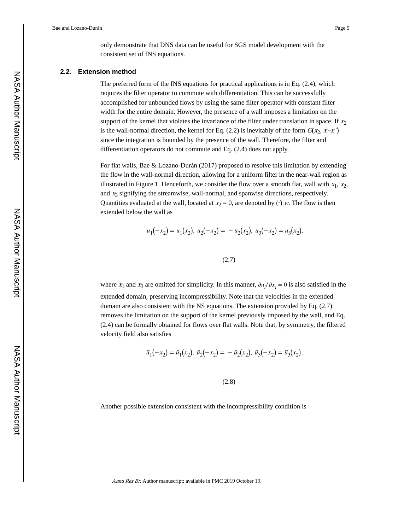only demonstrate that DNS data can be useful for SGS model development with the consistent set of fNS equations.

#### **2.2. Extension method**

The preferred form of the fNS equations for practical applications is in Eq.  $(2.4)$ , which requires the filter operator to commute with differentiation. This can be successfully accomplished for unbounded flows by using the same filter operator with constant filter width for the entire domain. However, the presence of a wall imposes a limitation on the support of the kernel that violates the invariance of the filter under translation in space. If  $x_2$ is the wall-normal direction, the kernel for Eq. (2.2) is inevitably of the form  $G(x_2, x-x')$ since the integration is bounded by the presence of the wall. Therefore, the filter and differentiation operators do not commute and Eq. (2.4) does not apply.

For flat walls, Bae & Lozano-Durán (2017) proposed to resolve this limitation by extending the flow in the wall-normal direction, allowing for a uniform filter in the near-wall region as illustrated in Figure 1. Henceforth, we consider the flow over a smooth flat, wall with  $x_1$ ,  $x_2$ , and  $x_3$  signifying the streamwise, wall-normal, and spanwise directions, respectively. Quantities evaluated at the wall, located at  $x_2 = 0$ , are denoted by (·)|w. The flow is then extended below the wall as

$$
u_1(-x_2) = u_1(x_2), u_2(-x_2) = -u_2(x_2), u_3(-x_2) = u_3(x_2),
$$

(2.7)

where  $x_1$  and  $x_3$  are omitted for simplicity. In this manner,  $\partial u_i / \partial x_i = 0$  is also satisfied in the extended domain, preserving incompressibility. Note that the velocities in the extended domain are also consistent with the NS equations. The extension provided by Eq. (2.7) removes the limitation on the support of the kernel previously imposed by the wall, and Eq. (2.4) can be formally obtained for flows over flat walls. Note that, by symmetry, the filtered velocity field also satisfies

$$
\bar{u}_1(-x_2) = \bar{u}_1(x_2), \ \bar{u}_2(-x_2) = -\bar{u}_2(x_2), \ \bar{u}_3(-x_2) = \bar{u}_3(x_2).
$$

(2.8)

Another possible extension consistent with the incompressibility condition is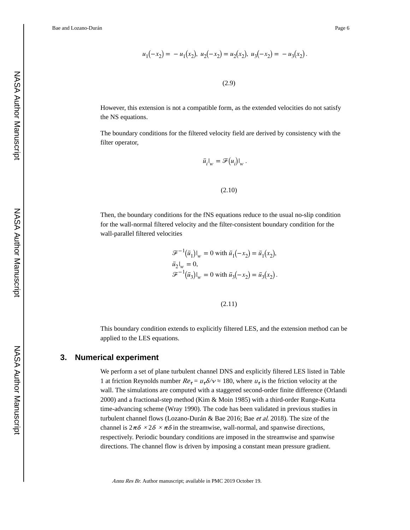Bae and Lozano-Durán **Page 6** Page 6

$$
u_1(-x_2) = -u_1(x_2), u_2(-x_2) = u_2(x_2), u_3(-x_2) = -u_3(x_2).
$$

(2.9)

However, this extension is not a compatible form, as the extended velocities do not satisfy the NS equations.

The boundary conditions for the filtered velocity field are derived by consistency with the filter operator,

$$
\bar{u}_i|_w = \mathscr{F}(u_i)|_w.
$$

```
(2.10)
```
Then, the boundary conditions for the fNS equations reduce to the usual no-slip condition for the wall-normal filtered velocity and the filter-consistent boundary condition for the wall-parallel filtered velocities

$$
\mathcal{F}^{-1}(\bar{u}_1)|_w = 0 \text{ with } \bar{u}_1(-x_2) = \bar{u}_1(x_2),
$$
  
\n
$$
\bar{u}_2|_w = 0,
$$
  
\n
$$
\mathcal{F}^{-1}(\bar{u}_3)|_w = 0 \text{ with } \bar{u}_3(-x_2) = \bar{u}_3(x_2).
$$

(2.11)

This boundary condition extends to explicitly filtered LES, and the extension method can be applied to the LES equations.

## **3. Numerical experiment**

We perform a set of plane turbulent channel DNS and explicitly filtered LES listed in Table 1 at friction Reynolds number  $Re_{\tau} = u_{\tau} \delta / v \approx 180$ , where  $u_{\tau}$  is the friction velocity at the wall. The simulations are computed with a staggered second-order finite difference (Orlandi 2000) and a fractional-step method (Kim & Moin 1985) with a third-order Runge-Kutta time-advancing scheme (Wray 1990). The code has been validated in previous studies in turbulent channel flows (Lozano-Durán & Bae 2016; Bae et al. 2018). The size of the channel is  $2\pi\delta \times 2\delta \times \pi\delta$  in the streamwise, wall-normal, and spanwise directions, respectively. Periodic boundary conditions are imposed in the streamwise and spanwise directions. The channel flow is driven by imposing a constant mean pressure gradient.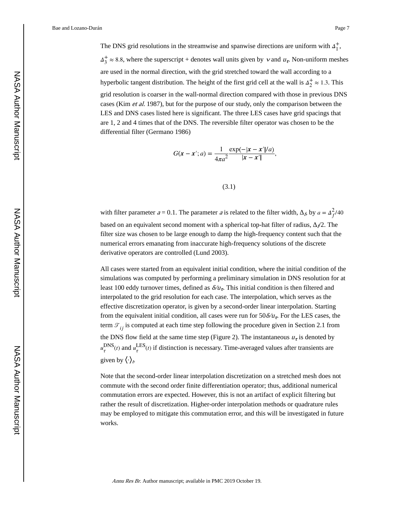The DNS grid resolutions in the streamwise and spanwise directions are uniform with  $\Delta_1^+$ ,  $+$  $\Delta_3^+ \approx 8.8$ , where the superscript + denotes wall units given by  $\nu$  and  $u_r$ . Non-uniform meshes are used in the normal direction, with the grid stretched toward the wall according to a hyperbolic tangent distribution. The height of the first grid cell at the wall is  $\Delta_2^+ \approx 1.3$ . This

grid resolution is coarser in the wall-normal direction compared with those in previous DNS cases (Kim et al. 1987), but for the purpose of our study, only the comparison between the LES and DNS cases listed here is significant. The three LES cases have grid spacings that are 1, 2 and 4 times that of the DNS. The reversible filter operator was chosen to be the differential filter (Germano 1986)

$$
G(x - x'; a) = \frac{1}{4\pi a^2} \frac{\exp(-|x - x'|/a)}{|x - x'|},
$$

(3.1)

with filter parameter  $a = 0.1$ . The parameter a is related to the filter width,  $\beta$  by  $a = \Delta_f^2/40$ based on an equivalent second moment with a spherical top-hat filter of radius,  $\angle/2$ . The filter size was chosen to be large enough to damp the high-frequency content such that the numerical errors emanating from inaccurate high-frequency solutions of the discrete derivative operators are controlled (Lund 2003).

All cases were started from an equivalent initial condition, where the initial condition of the simulations was computed by performing a preliminary simulation in DNS resolution for at least 100 eddy turnover times, defined as  $\delta / u_{\tau}$ . This initial condition is then filtered and interpolated to the grid resolution for each case. The interpolation, which serves as the effective discretization operator, is given by a second-order linear interpolation. Starting from the equivalent initial condition, all cases were run for  $50\delta/\nu_{\tau}$ . For the LES cases, the term  $\mathcal{T}_{ij}$  is computed at each time step following the procedure given in Section 2.1 from the DNS flow field at the same time step (Figure 2). The instantaneous  $u<sub>\tau</sub>$  is denoted by  $u_{\tau}^{\text{DNS}}(t)$  and  $u_{\tau}^{\text{LES}}(t)$  if distinction is necessary. Time-averaged values after transients are given by  $\langle \cdot \rangle_t$ 

Note that the second-order linear interpolation discretization on a stretched mesh does not commute with the second order finite differentiation operator; thus, additional numerical commutation errors are expected. However, this is not an artifact of explicit filtering but rather the result of discretization. Higher-order interpolation methods or quadrature rules may be employed to mitigate this commutation error, and this will be investigated in future works.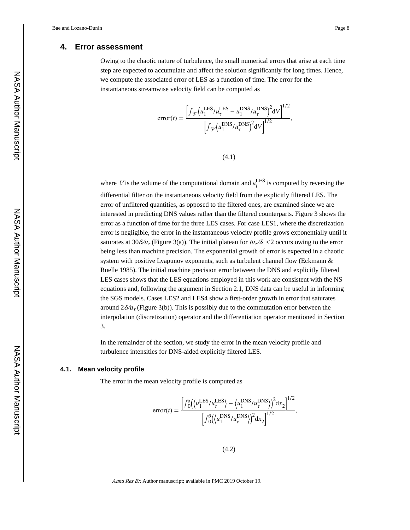#### **4. Error assessment**

Owing to the chaotic nature of turbulence, the small numerical errors that arise at each time step are expected to accumulate and affect the solution significantly for long times. Hence, we compute the associated error of LES as a function of time. The error for the instantaneous streamwise velocity field can be computed as

$$
error(t) = \frac{\left[\int_{\mathcal{V}} \left(u_1^{\text{LES}}/u_\tau^{\text{LES}} - u_1^{\text{DNS}}/u_\tau^{\text{DNS}}\right)^2 dV\right]^{1/2}}{\left[\int_{\mathcal{V}} \left(u_1^{\text{DNS}}/u_\tau^{\text{DNS}}\right)^2 dV\right]^{1/2}},
$$

(4.1)

where *V* is the volume of the computational domain and  $u_i^{\text{LES}}$  is computed by reversing the differential filter on the instantaneous velocity field from the explicitly filtered LES. The error of unfiltered quantities, as opposed to the filtered ones, are examined since we are interested in predicting DNS values rather than the filtered counterparts. Figure 3 shows the error as a function of time for the three LES cases. For case LES1, where the discretization error is negligible, the error in the instantaneous velocity profile grows exponentially until it saturates at 30 $\delta / u_{\tau}$  (Figure 3(a)). The initial plateau for  $t u_{\tau}/\delta < 2$  occurs owing to the error being less than machine precision. The exponential growth of error is expected in a chaotic system with positive Lyapunov exponents, such as turbulent channel flow (Eckmann & Ruelle 1985). The initial machine precision error between the DNS and explicitly filtered LES cases shows that the LES equations employed in this work are consistent with the NS equations and, following the argument in Section 2.1, DNS data can be useful in informing the SGS models. Cases LES2 and LES4 show a first-order growth in error that saturates around  $2\delta/\nu_{\tau}$  (Figure 3(b)). This is possibly due to the commutation error between the interpolation (discretization) operator and the differentiation operator mentioned in Section 3.

In the remainder of the section, we study the error in the mean velocity profile and turbulence intensities for DNS-aided explicitly filtered LES.

#### **4.1. Mean velocity profile**

The error in the mean velocity profile is computed as

$$
error(t) = \frac{\left[\int_0^{\delta} \left(\langle u_1^{\text{LES}}/u_\tau^{\text{LES}}\rangle - \langle u_1^{\text{DNS}}/u_\tau^{\text{DNS}}\rangle\right)^2 dx_2\right]^{1/2}}{\left[\int_0^{\delta} \left(\langle u_1^{\text{DNS}}/u_\tau^{\text{DNS}}\rangle\right)^2 dx_2\right]^{1/2}},
$$

 $(4.2)$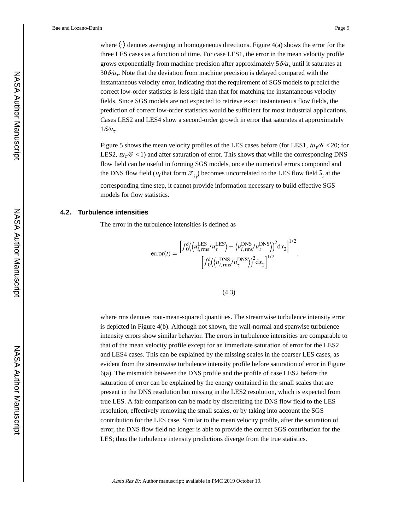where  $\langle \cdot \rangle$  denotes averaging in homogeneous directions. Figure 4(a) shows the error for the three LES cases as a function of time. For case LES1, the error in the mean velocity profile grows exponentially from machine precision after approximately  $5\delta/u<sub>\tau</sub>$  until it saturates at 30 $\delta/\nu_{\tau}$ . Note that the deviation from machine precision is delayed compared with the instantaneous velocity error, indicating that the requirement of SGS models to predict the correct low-order statistics is less rigid than that for matching the instantaneous velocity fields. Since SGS models are not expected to retrieve exact instantaneous flow fields, the prediction of correct low-order statistics would be sufficient for most industrial applications. Cases LES2 and LES4 show a second-order growth in error that saturates at approximately  $1\delta/u_{\tau}$ .

Figure 5 shows the mean velocity profiles of the LES cases before (for LES1,  $tu_{\tau}/\delta$  < 20; for LES2,  $t u_{\tau}/\delta$  < 1) and after saturation of error. This shows that while the corresponding DNS flow field can be useful in forming SGS models, once the numerical errors compound and the DNS flow field ( $u_i$  that form  $\mathcal{T}_{ij}$ ) becomes uncorrelated to the LES flow field  $\tilde{\vec{u}}_i$  at the corresponding time step, it cannot provide information necessary to build effective SGS models for flow statistics.

#### **4.2. Turbulence intensities**

The error in the turbulence intensities is defined as

$$
error(t) = \frac{\left[\int_0^{\delta} (\langle u_{i, \text{rms}}^{\text{LES}} / u_{\tau}^{\text{LES}} \rangle - \langle u_{i, \text{rms}}^{\text{DNS}} / u_{\tau}^{\text{DNS}} \rangle \right]^2 dx_2 \right]^{1/2}}{\left[\int_0^{\delta} (\langle u_{i, \text{rms}}^{\text{DNS}} / u_{\tau}^{\text{DNS}} \rangle \right]^2 dx_2 \right]^{1/2}},
$$

(4.3)

where rms denotes root-mean-squared quantities. The streamwise turbulence intensity error is depicted in Figure 4(b). Although not shown, the wall-normal and spanwise turbulence intensity errors show similar behavior. The errors in turbulence intensities are comparable to that of the mean velocity profile except for an immediate saturation of error for the LES2 and LES4 cases. This can be explained by the missing scales in the coarser LES cases, as evident from the streamwise turbulence intensity profile before saturation of error in Figure 6(a). The mismatch between the DNS profile and the profile of case LES2 before the saturation of error can be explained by the energy contained in the small scales that are present in the DNS resolution but missing in the LES2 resolution, which is expected from true LES. A fair comparison can be made by discretizing the DNS flow field to the LES resolution, effectively removing the small scales, or by taking into account the SGS contribution for the LES case. Similar to the mean velocity profile, after the saturation of error, the DNS flow field no longer is able to provide the correct SGS contribution for the LES; thus the turbulence intensity predictions diverge from the true statistics.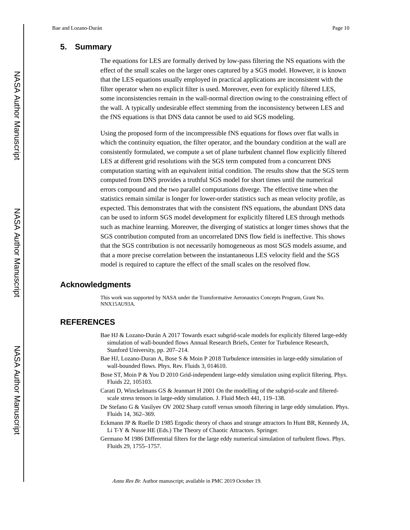## **5. Summary**

The equations for LES are formally derived by low-pass filtering the NS equations with the effect of the small scales on the larger ones captured by a SGS model. However, it is known that the LES equations usually employed in practical applications are inconsistent with the filter operator when no explicit filter is used. Moreover, even for explicitly filtered LES, some inconsistencies remain in the wall-normal direction owing to the constraining effect of the wall. A typically undesirable effect stemming from the inconsistency between LES and the fNS equations is that DNS data cannot be used to aid SGS modeling.

Using the proposed form of the incompressible fNS equations for flows over flat walls in which the continuity equation, the filter operator, and the boundary condition at the wall are consistently formulated, we compute a set of plane turbulent channel flow explicitly filtered LES at different grid resolutions with the SGS term computed from a concurrent DNS computation starting with an equivalent initial condition. The results show that the SGS term computed from DNS provides a truthful SGS model for short times until the numerical errors compound and the two parallel computations diverge. The effective time when the statistics remain similar is longer for lower-order statistics such as mean velocity profile, as expected. This demonstrates that with the consistent fNS equations, the abundant DNS data can be used to inform SGS model development for explicitly filtered LES through methods such as machine learning. Moreover, the diverging of statistics at longer times shows that the SGS contribution computed from an uncorrelated DNS flow field is ineffective. This shows that the SGS contribution is not necessarily homogeneous as most SGS models assume, and that a more precise correlation between the instantaneous LES velocity field and the SGS model is required to capture the effect of the small scales on the resolved flow.

## **Acknowledgments**

This work was supported by NASA under the Transformative Aeronautics Concepts Program, Grant No. NNX15AU93A.

## **REFERENCES**

- Bae HJ & Lozano-Durán A 2017 Towards exact subgrid-scale models for explicitly filtered large-eddy simulation of wall-bounded flows Annual Research Briefs, Center for Turbulence Research, Stanford University, pp. 207–214.
- Bae HJ, Lozano-Duran A, Bose S & Moin P 2018 Turbulence intensities in large-eddy simulation of wall-bounded flows. Phys. Rev. Fluids 3, 014610.
- Bose ST, Moin P & You D 2010 Grid-independent large-eddy simulation using explicit filtering. Phys. Fluids 22, 105103.
- Carati D, Winckelmans GS & Jeanmart H 2001 On the modelling of the subgrid-scale and filteredscale stress tensors in large-eddy simulation. J. Fluid Mech 441, 119–138.
- De Stefano G & Vasilyev OV 2002 Sharp cutoff versus smooth filtering in large eddy simulation. Phys. Fluids 14, 362–369.
- Eckmann JP & Ruelle D 1985 Ergodic theory of chaos and strange attractors In Hunt BR, Kennedy JA, Li T-Y & Nusse HE (Eds.) The Theory of Chaotic Attractors. Springer.
- Germano M 1986 Differential filters for the large eddy numerical simulation of turbulent flows. Phys. Fluids 29, 1755–1757.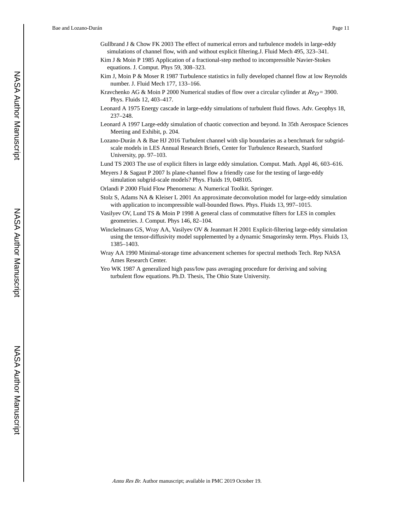- Gullbrand J & Chow FK 2003 The effect of numerical errors and turbulence models in large-eddy simulations of channel flow, with and without explicit filtering.J. Fluid Mech 495, 323–341.
- Kim J & Moin P 1985 Application of a fractional-step method to incompressible Navier-Stokes equations. J. Comput. Phys 59, 308–323.
- Kim J, Moin P & Moser R 1987 Turbulence statistics in fully developed channel flow at low Reynolds number. J. Fluid Mech 177, 133–166.
- Kravchenko AG & Moin P 2000 Numerical studies of flow over a circular cylinder at  $Re_p = 3900$ . Phys. Fluids 12, 403–417.
- Leonard A 1975 Energy cascade in large-eddy simulations of turbulent fluid flows. Adv. Geophys 18, 237–248.
- Leonard A 1997 Large-eddy simulation of chaotic convection and beyond. In 35th Aerospace Sciences Meeting and Exhibit, p. 204.
- Lozano-Durán A & Bae HJ 2016 Turbulent channel with slip boundaries as a benchmark for subgridscale models in LES Annual Research Briefs, Center for Turbulence Research, Stanford University, pp. 97–103.
- Lund TS 2003 The use of explicit filters in large eddy simulation. Comput. Math. Appl 46, 603–616.
- Meyers J & Sagaut P 2007 Is plane-channel flow a friendly case for the testing of large-eddy simulation subgrid-scale models? Phys. Fluids 19, 048105.
- Orlandi P 2000 Fluid Flow Phenomena: A Numerical Toolkit. Springer.
- Stolz S, Adams NA & Kleiser L 2001 An approximate deconvolution model for large-eddy simulation with application to incompressible wall-bounded flows. Phys. Fluids 13, 997–1015.
- Vasilyev OV, Lund TS & Moin P 1998 A general class of commutative filters for LES in complex geometries. J. Comput. Phys 146, 82–104.
- Winckelmans GS, Wray AA, Vasilyev OV & Jeanmart H 2001 Explicit-filtering large-eddy simulation using the tensor-diffusivity model supplemented by a dynamic Smagorinsky term. Phys. Fluids 13, 1385–1403.
- Wray AA 1990 Minimal-storage time advancement schemes for spectral methods Tech. Rep NASA Ames Research Center.
- Yeo WK 1987 A generalized high pass/low pass averaging procedure for deriving and solving turbulent flow equations. Ph.D. Thesis, The Ohio State University.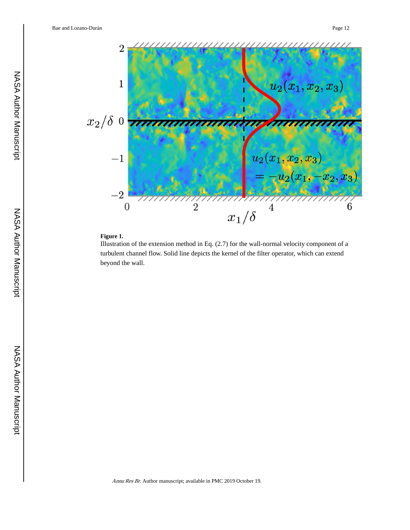

## **Figure 1.**

Illustration of the extension method in Eq. (2.7) for the wall-normal velocity component of a turbulent channel flow. Solid line depicts the kernel of the filter operator, which can extend beyond the wall.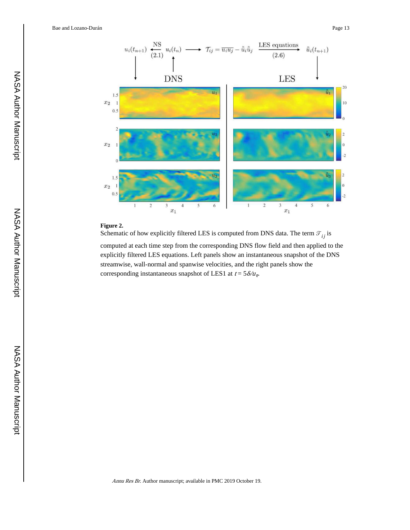Bae and Lozano-Durán **Page 13** Page 13



#### **Figure 2.**

Schematic of how explicitly filtered LES is computed from DNS data. The term  $\mathcal{T}_{ij}$  is

computed at each time step from the corresponding DNS flow field and then applied to the explicitly filtered LES equations. Left panels show an instantaneous snapshot of the DNS streamwise, wall-normal and spanwise velocities, and the right panels show the corresponding instantaneous snapshot of LES1 at  $t = 5\delta/u_r$ .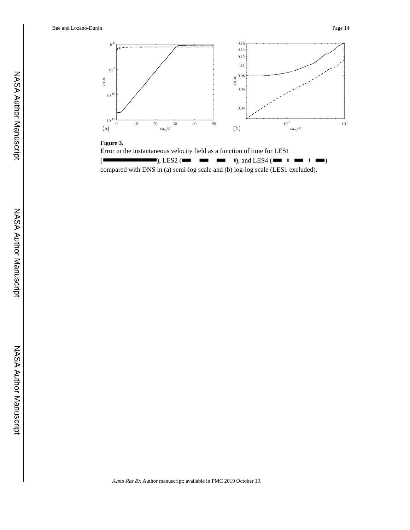

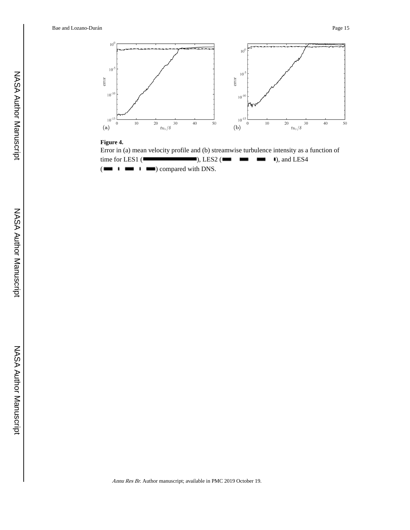

#### **Figure 4.**

Error in (a) mean velocity profile and (b) streamwise turbulence intensity as a function of time for LES1 ( $\Box$ ), LES2 ( $\Box$ ),  $\Box$  1), and LES4  $(\blacksquare \blacksquare \blacksquare \blacksquare \blacksquare \blacksquare)$  compared with DNS.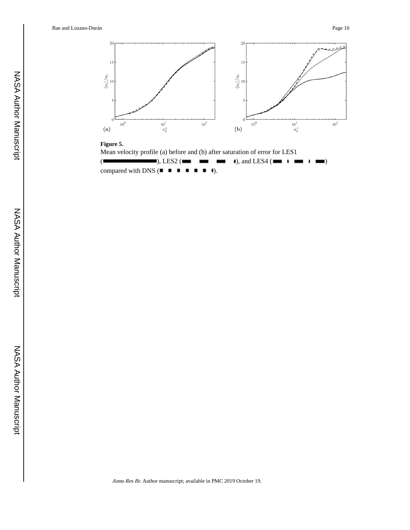Bae and Lozano-Durán **Page 16** Page 16



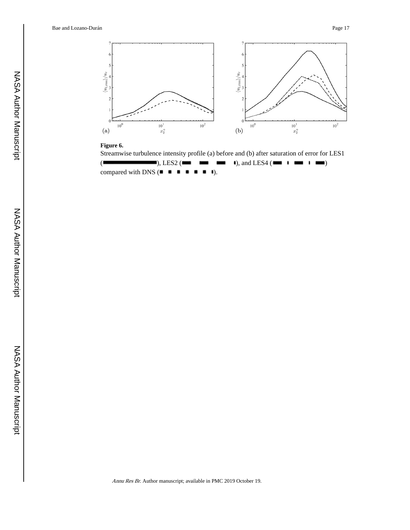

### **Figure 6.**

Streamwise turbulence intensity profile (a) before and (b) after saturation of error for LES1  $(\blacksquare \blacksquare)$ , LES2  $(\blacksquare \blacksquare \blacksquare)$ , and LES4  $(\blacksquare \blacksquare \blacksquare \blacksquare)$ compared with DNS  $($  $\blacksquare$   $\blacksquare$   $\blacksquare$   $\blacksquare$   $\blacksquare$   $\blacksquare$   $\blacksquare$ ).

NASA Author Manuscript

NASA Author Manuscript